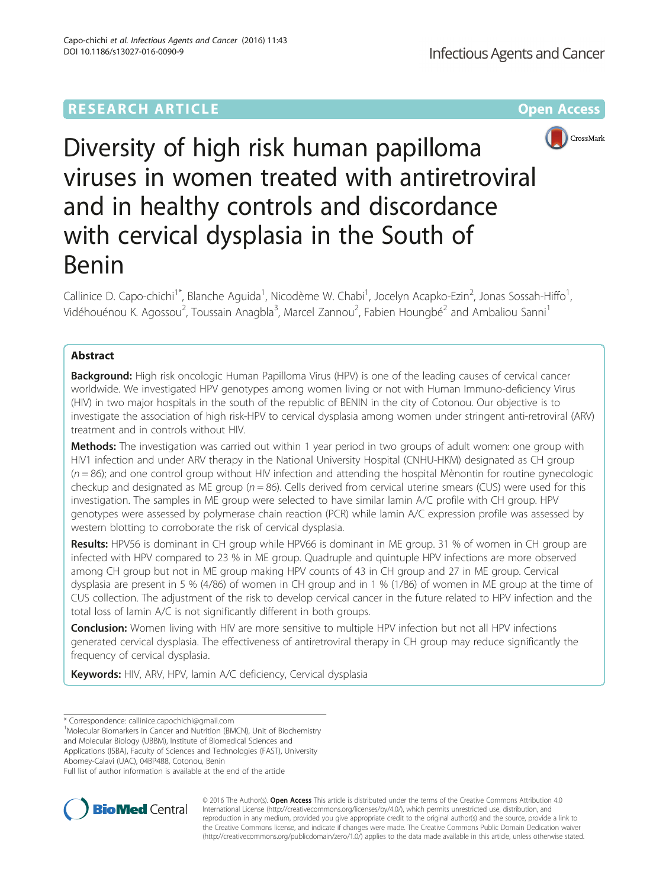# **RESEARCH ARTICLE Example 2014 12:30 The Company Access** (RESEARCH ARTICLE



Diversity of high risk human papilloma viruses in women treated with antiretroviral and in healthy controls and discordance with cervical dysplasia in the South of Benin

Callinice D. Capo-chichi<sup>1\*</sup>, Blanche Aguida<sup>1</sup>, Nicodème W. Chabi<sup>1</sup>, Jocelyn Acapko-Ezin<sup>2</sup>, Jonas Sossah-Hiffo<sup>1</sup> , Vidéhouénou K. Agossou<sup>2</sup>, Toussain Anagbla<sup>3</sup>, Marcel Zannou<sup>2</sup>, Fabien Houngbé<sup>2</sup> and Ambaliou Sanni<sup>1</sup>

# Abstract

**Background:** High risk oncologic Human Papilloma Virus (HPV) is one of the leading causes of cervical cancer worldwide. We investigated HPV genotypes among women living or not with Human Immuno-deficiency Virus (HIV) in two major hospitals in the south of the republic of BENIN in the city of Cotonou. Our objective is to investigate the association of high risk-HPV to cervical dysplasia among women under stringent anti-retroviral (ARV) treatment and in controls without HIV.

Methods: The investigation was carried out within 1 year period in two groups of adult women: one group with HIV1 infection and under ARV therapy in the National University Hospital (CNHU-HKM) designated as CH group  $(n = 86)$ ; and one control group without HIV infection and attending the hospital Mènontin for routine gynecologic checkup and designated as ME group ( $n = 86$ ). Cells derived from cervical uterine smears (CUS) were used for this investigation. The samples in ME group were selected to have similar lamin A/C profile with CH group. HPV genotypes were assessed by polymerase chain reaction (PCR) while lamin A/C expression profile was assessed by western blotting to corroborate the risk of cervical dysplasia.

Results: HPV56 is dominant in CH group while HPV66 is dominant in ME group. 31 % of women in CH group are infected with HPV compared to 23 % in ME group. Quadruple and quintuple HPV infections are more observed among CH group but not in ME group making HPV counts of 43 in CH group and 27 in ME group. Cervical dysplasia are present in 5 % (4/86) of women in CH group and in 1 % (1/86) of women in ME group at the time of CUS collection. The adjustment of the risk to develop cervical cancer in the future related to HPV infection and the total loss of lamin A/C is not significantly different in both groups.

**Conclusion:** Women living with HIV are more sensitive to multiple HPV infection but not all HPV infections generated cervical dysplasia. The effectiveness of antiretroviral therapy in CH group may reduce significantly the frequency of cervical dysplasia.

Keywords: HIV, ARV, HPV, lamin A/C deficiency, Cervical dysplasia

\* Correspondence: [callinice.capochichi@gmail.com](mailto:callinice.capochichi@gmail.com) <sup>1</sup>

<sup>1</sup>Molecular Biomarkers in Cancer and Nutrition (BMCN), Unit of Biochemistry

and Molecular Biology (UBBM), Institute of Biomedical Sciences and Applications (ISBA), Faculty of Sciences and Technologies (FAST), University

Abomey-Calavi (UAC), 04BP488, Cotonou, Benin

Full list of author information is available at the end of the article



© 2016 The Author(s). Open Access This article is distributed under the terms of the Creative Commons Attribution 4.0 International License [\(http://creativecommons.org/licenses/by/4.0/](http://creativecommons.org/licenses/by/4.0/)), which permits unrestricted use, distribution, and reproduction in any medium, provided you give appropriate credit to the original author(s) and the source, provide a link to the Creative Commons license, and indicate if changes were made. The Creative Commons Public Domain Dedication waiver [\(http://creativecommons.org/publicdomain/zero/1.0/](http://creativecommons.org/publicdomain/zero/1.0/)) applies to the data made available in this article, unless otherwise stated.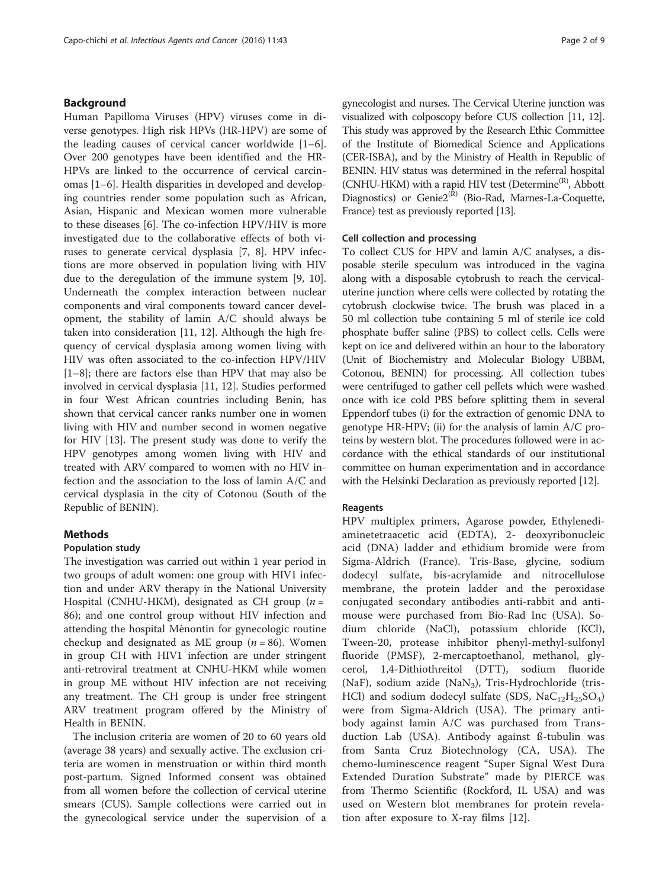# Background

Human Papilloma Viruses (HPV) viruses come in diverse genotypes. High risk HPVs (HR-HPV) are some of the leading causes of cervical cancer worldwide [\[1](#page-8-0)–[6](#page-8-0)]. Over 200 genotypes have been identified and the HR-HPVs are linked to the occurrence of cervical carcinomas [\[1](#page-8-0)–[6](#page-8-0)]. Health disparities in developed and developing countries render some population such as African, Asian, Hispanic and Mexican women more vulnerable to these diseases [[6\]](#page-8-0). The co-infection HPV/HIV is more investigated due to the collaborative effects of both viruses to generate cervical dysplasia [[7](#page-8-0), [8](#page-8-0)]. HPV infections are more observed in population living with HIV due to the deregulation of the immune system [\[9, 10](#page-8-0)]. Underneath the complex interaction between nuclear components and viral components toward cancer development, the stability of lamin A/C should always be taken into consideration [\[11](#page-8-0), [12](#page-8-0)]. Although the high frequency of cervical dysplasia among women living with HIV was often associated to the co-infection HPV/HIV [[1](#page-8-0)–[8\]](#page-8-0); there are factors else than HPV that may also be involved in cervical dysplasia [\[11, 12\]](#page-8-0). Studies performed in four West African countries including Benin, has shown that cervical cancer ranks number one in women living with HIV and number second in women negative for HIV [[13\]](#page-8-0). The present study was done to verify the HPV genotypes among women living with HIV and treated with ARV compared to women with no HIV infection and the association to the loss of lamin A/C and cervical dysplasia in the city of Cotonou (South of the Republic of BENIN).

# Methods

### Population study

The investigation was carried out within 1 year period in two groups of adult women: one group with HIV1 infection and under ARV therapy in the National University Hospital (CNHU-HKM), designated as CH group  $(n =$ 86); and one control group without HIV infection and attending the hospital Mènontin for gynecologic routine checkup and designated as ME group ( $n = 86$ ). Women in group CH with HIV1 infection are under stringent anti-retroviral treatment at CNHU-HKM while women in group ME without HIV infection are not receiving any treatment. The CH group is under free stringent ARV treatment program offered by the Ministry of Health in BENIN.

The inclusion criteria are women of 20 to 60 years old (average 38 years) and sexually active. The exclusion criteria are women in menstruation or within third month post-partum. Signed Informed consent was obtained from all women before the collection of cervical uterine smears (CUS). Sample collections were carried out in the gynecological service under the supervision of a gynecologist and nurses. The Cervical Uterine junction was visualized with colposcopy before CUS collection [\[11](#page-8-0), [12](#page-8-0)]. This study was approved by the Research Ethic Committee of the Institute of Biomedical Science and Applications (CER-ISBA), and by the Ministry of Health in Republic of BENIN. HIV status was determined in the referral hospital (CNHU-HKM) with a rapid HIV test (Determine<sup>(R)</sup>, Abbott Diagnostics) or  $Genie2^{(\tilde{R})}$  (Bio-Rad, Marnes-La-Coquette, France) test as previously reported [\[13](#page-8-0)].

# Cell collection and processing

To collect CUS for HPV and lamin A/C analyses, a disposable sterile speculum was introduced in the vagina along with a disposable cytobrush to reach the cervicaluterine junction where cells were collected by rotating the cytobrush clockwise twice. The brush was placed in a 50 ml collection tube containing 5 ml of sterile ice cold phosphate buffer saline (PBS) to collect cells. Cells were kept on ice and delivered within an hour to the laboratory (Unit of Biochemistry and Molecular Biology UBBM, Cotonou, BENIN) for processing. All collection tubes were centrifuged to gather cell pellets which were washed once with ice cold PBS before splitting them in several Eppendorf tubes (i) for the extraction of genomic DNA to genotype HR-HPV; (ii) for the analysis of lamin A/C proteins by western blot. The procedures followed were in accordance with the ethical standards of our institutional committee on human experimentation and in accordance with the Helsinki Declaration as previously reported [[12](#page-8-0)].

# Reagents

HPV multiplex primers, Agarose powder, Ethylenediaminetetraacetic acid (EDTA), 2- deoxyribonucleic acid (DNA) ladder and ethidium bromide were from Sigma-Aldrich (France). Tris-Base, glycine, sodium dodecyl sulfate, bis-acrylamide and nitrocellulose membrane, the protein ladder and the peroxidase conjugated secondary antibodies anti-rabbit and antimouse were purchased from Bio-Rad Inc (USA). Sodium chloride (NaCl), potassium chloride (KCl), Tween-20, protease inhibitor phenyl-methyl-sulfonyl fluoride (PMSF), 2-mercaptoethanol, methanol, glycerol, 1,4-Dithiothreitol (DTT), sodium fluoride (NaF), sodium azide (NaN<sub>3</sub>), Tris-Hydrochloride (tris-HCl) and sodium dodecyl sulfate (SDS,  $NaC_{12}H_{25}SO_4$ ) were from Sigma-Aldrich (USA). The primary antibody against lamin A/C was purchased from Transduction Lab (USA). Antibody against ß-tubulin was from Santa Cruz Biotechnology (CA, USA). The chemo-luminescence reagent "Super Signal West Dura Extended Duration Substrate" made by PIERCE was from Thermo Scientific (Rockford, IL USA) and was used on Western blot membranes for protein revelation after exposure to X-ray films [\[12](#page-8-0)].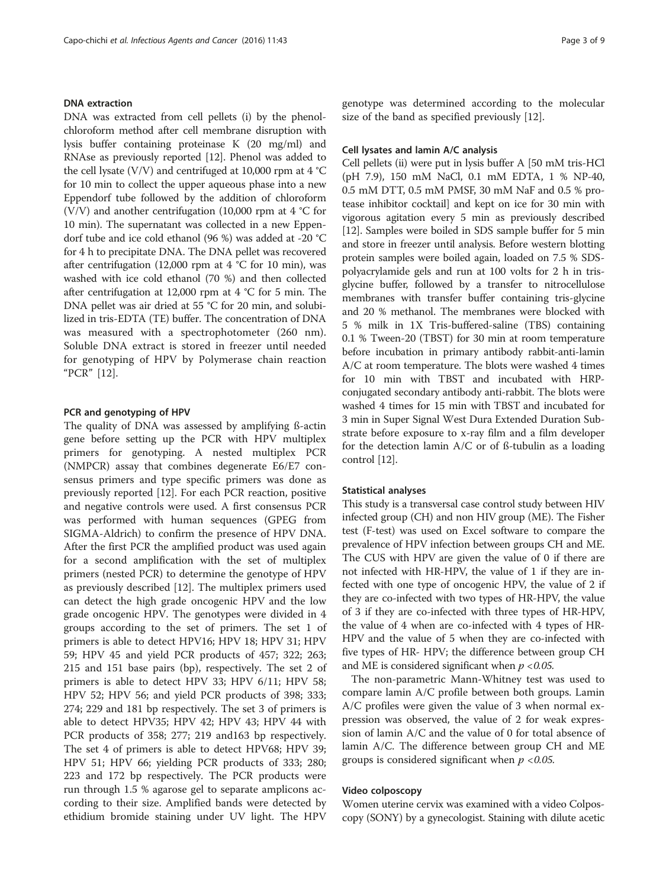# DNA extraction

DNA was extracted from cell pellets (i) by the phenolchloroform method after cell membrane disruption with lysis buffer containing proteinase K (20 mg/ml) and RNAse as previously reported [\[12\]](#page-8-0). Phenol was added to the cell lysate (V/V) and centrifuged at 10,000 rpm at  $4^{\circ}$ C for 10 min to collect the upper aqueous phase into a new Eppendorf tube followed by the addition of chloroform (V/V) and another centrifugation (10,000 rpm at  $4 °C$  for 10 min). The supernatant was collected in a new Eppendorf tube and ice cold ethanol (96 %) was added at -20 °C for 4 h to precipitate DNA. The DNA pellet was recovered after centrifugation (12,000 rpm at  $4 °C$  for 10 min), was washed with ice cold ethanol (70 %) and then collected after centrifugation at 12,000 rpm at 4 °C for 5 min. The DNA pellet was air dried at 55 °C for 20 min, and solubilized in tris-EDTA (TE) buffer. The concentration of DNA was measured with a spectrophotometer (260 nm). Soluble DNA extract is stored in freezer until needed for genotyping of HPV by Polymerase chain reaction "PCR" [[12\]](#page-8-0).

### PCR and genotyping of HPV

The quality of DNA was assessed by amplifying ß-actin gene before setting up the PCR with HPV multiplex primers for genotyping. A nested multiplex PCR (NMPCR) assay that combines degenerate E6/E7 consensus primers and type specific primers was done as previously reported [[12](#page-8-0)]. For each PCR reaction, positive and negative controls were used. A first consensus PCR was performed with human sequences (GPEG from SIGMA-Aldrich) to confirm the presence of HPV DNA. After the first PCR the amplified product was used again for a second amplification with the set of multiplex primers (nested PCR) to determine the genotype of HPV as previously described [[12\]](#page-8-0). The multiplex primers used can detect the high grade oncogenic HPV and the low grade oncogenic HPV. The genotypes were divided in 4 groups according to the set of primers. The set 1 of primers is able to detect HPV16; HPV 18; HPV 31; HPV 59; HPV 45 and yield PCR products of 457; 322; 263; 215 and 151 base pairs (bp), respectively. The set 2 of primers is able to detect HPV 33; HPV 6/11; HPV 58; HPV 52; HPV 56; and yield PCR products of 398; 333; 274; 229 and 181 bp respectively. The set 3 of primers is able to detect HPV35; HPV 42; HPV 43; HPV 44 with PCR products of 358; 277; 219 and163 bp respectively. The set 4 of primers is able to detect HPV68; HPV 39; HPV 51; HPV 66; yielding PCR products of 333; 280; 223 and 172 bp respectively. The PCR products were run through 1.5 % agarose gel to separate amplicons according to their size. Amplified bands were detected by ethidium bromide staining under UV light. The HPV genotype was determined according to the molecular size of the band as specified previously [[12\]](#page-8-0).

### Cell lysates and lamin A/C analysis

Cell pellets (ii) were put in lysis buffer A [50 mM tris-HCl (pH 7.9), 150 mM NaCl, 0.1 mM EDTA, 1 % NP-40, 0.5 mM DTT, 0.5 mM PMSF, 30 mM NaF and 0.5 % protease inhibitor cocktail] and kept on ice for 30 min with vigorous agitation every 5 min as previously described [[12](#page-8-0)]. Samples were boiled in SDS sample buffer for 5 min and store in freezer until analysis. Before western blotting protein samples were boiled again, loaded on 7.5 % SDSpolyacrylamide gels and run at 100 volts for 2 h in trisglycine buffer, followed by a transfer to nitrocellulose membranes with transfer buffer containing tris-glycine and 20 % methanol. The membranes were blocked with 5 % milk in 1X Tris-buffered-saline (TBS) containing 0.1 % Tween-20 (TBST) for 30 min at room temperature before incubation in primary antibody rabbit-anti-lamin A/C at room temperature. The blots were washed 4 times for 10 min with TBST and incubated with HRPconjugated secondary antibody anti-rabbit. The blots were washed 4 times for 15 min with TBST and incubated for 3 min in Super Signal West Dura Extended Duration Substrate before exposure to x-ray film and a film developer for the detection lamin A/C or of ß-tubulin as a loading control [\[12\]](#page-8-0).

# Statistical analyses

This study is a transversal case control study between HIV infected group (CH) and non HIV group (ME). The Fisher test (F-test) was used on Excel software to compare the prevalence of HPV infection between groups CH and ME. The CUS with HPV are given the value of 0 if there are not infected with HR-HPV, the value of 1 if they are infected with one type of oncogenic HPV, the value of 2 if they are co-infected with two types of HR-HPV, the value of 3 if they are co-infected with three types of HR-HPV, the value of 4 when are co-infected with 4 types of HR-HPV and the value of 5 when they are co-infected with five types of HR- HPV; the difference between group CH and ME is considered significant when  $p < 0.05$ .

The non-parametric Mann-Whitney test was used to compare lamin A/C profile between both groups. Lamin A/C profiles were given the value of 3 when normal expression was observed, the value of 2 for weak expression of lamin A/C and the value of 0 for total absence of lamin A/C. The difference between group CH and ME groups is considered significant when  $p < 0.05$ .

# Video colposcopy

Women uterine cervix was examined with a video Colposcopy (SONY) by a gynecologist. Staining with dilute acetic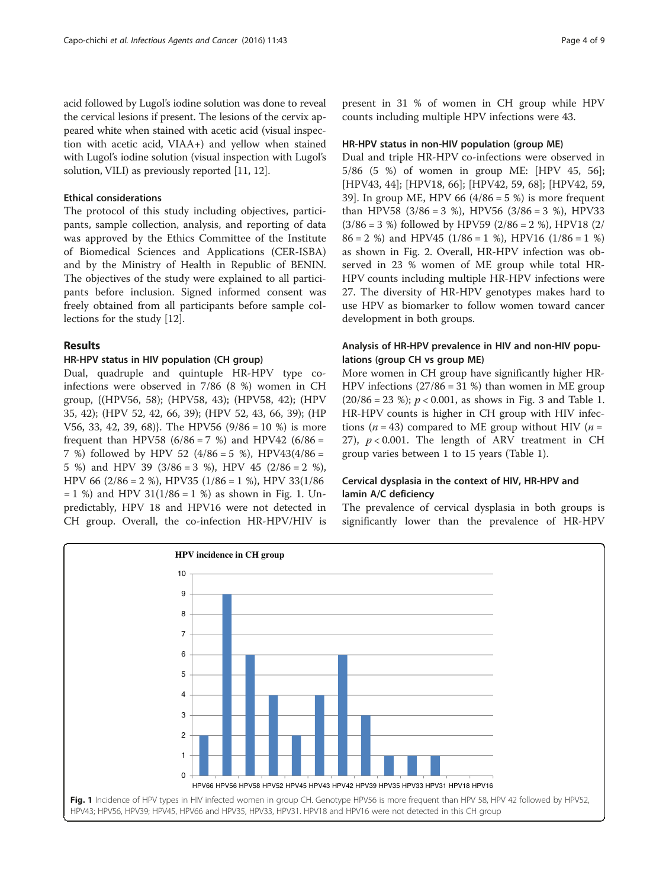acid followed by Lugol's iodine solution was done to reveal the cervical lesions if present. The lesions of the cervix appeared white when stained with acetic acid (visual inspection with acetic acid, VIAA+) and yellow when stained with Lugol's iodine solution (visual inspection with Lugol's solution, VILI) as previously reported [\[11, 12](#page-8-0)].

### Ethical considerations

The protocol of this study including objectives, participants, sample collection, analysis, and reporting of data was approved by the Ethics Committee of the Institute of Biomedical Sciences and Applications (CER-ISBA) and by the Ministry of Health in Republic of BENIN. The objectives of the study were explained to all participants before inclusion. Signed informed consent was freely obtained from all participants before sample collections for the study [[12](#page-8-0)].

### Results

# HR-HPV status in HIV population (CH group)

Dual, quadruple and quintuple HR-HPV type coinfections were observed in 7/86 (8 %) women in CH group, {(HPV56, 58); (HPV58, 43); (HPV58, 42); (HPV 35, 42); (HPV 52, 42, 66, 39); (HPV 52, 43, 66, 39); (HP V56, 33, 42, 39, 68)}. The HPV56 (9/86 = 10 %) is more frequent than HPV58 (6/86 = 7 %) and HPV42 (6/86 = 7 %) followed by HPV 52  $(4/86 = 5 \%)$ , HPV43 $(4/86 = 5 \%)$ 5 %) and HPV 39  $(3/86 = 3$  %), HPV 45  $(2/86 = 2$  %), HPV 66 (2/86 = 2 %), HPV35 (1/86 = 1 %), HPV 33(1/86  $= 1$  %) and HPV 31(1/86  $= 1$  %) as shown in Fig. 1. Unpredictably, HPV 18 and HPV16 were not detected in CH group. Overall, the co-infection HR-HPV/HIV is

present in 31 % of women in CH group while HPV counts including multiple HPV infections were 43.

#### HR-HPV status in non-HIV population (group ME)

Dual and triple HR-HPV co-infections were observed in 5/86 (5 %) of women in group ME: [HPV 45, 56]; [HPV43, 44]; [HPV18, 66]; [HPV42, 59, 68]; [HPV42, 59, 39]. In group ME, HPV 66  $(4/86 = 5%)$  is more frequent than HPV58  $(3/86 = 3 \%)$ , HPV56  $(3/86 = 3 \%)$ , HPV33  $(3/86 = 3 \%)$  followed by HPV59 (2/86 = 2 %), HPV18 (2/  $86 = 2$  %) and HPV45 (1/86 = 1 %), HPV16 (1/86 = 1 %) as shown in Fig. [2.](#page-4-0) Overall, HR-HPV infection was observed in 23 % women of ME group while total HR-HPV counts including multiple HR-HPV infections were 27. The diversity of HR-HPV genotypes makes hard to use HPV as biomarker to follow women toward cancer development in both groups.

# Analysis of HR-HPV prevalence in HIV and non-HIV populations (group CH vs group ME)

More women in CH group have significantly higher HR-HPV infections (27/86 = 31 %) than women in ME group  $(20/86 = 23 \%)$ ;  $p < 0.001$ , as shows in Fig. [3](#page-4-0) and Table [1](#page-5-0). HR-HPV counts is higher in CH group with HIV infections ( $n = 43$ ) compared to ME group without HIV ( $n =$ 27),  $p < 0.001$ . The length of ARV treatment in CH group varies between 1 to 15 years (Table [1](#page-5-0)).

# Cervical dysplasia in the context of HIV, HR-HPV and lamin A/C deficiency

The prevalence of cervical dysplasia in both groups is significantly lower than the prevalence of HR-HPV

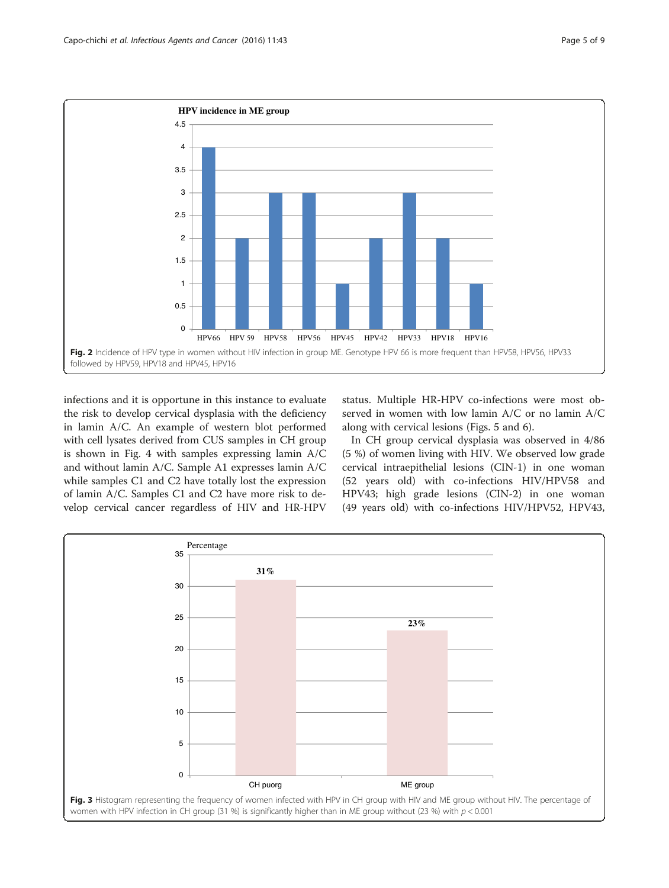<span id="page-4-0"></span>

infections and it is opportune in this instance to evaluate the risk to develop cervical dysplasia with the deficiency in lamin A/C. An example of western blot performed with cell lysates derived from CUS samples in CH group is shown in Fig. [4](#page-5-0) with samples expressing lamin A/C and without lamin A/C. Sample A1 expresses lamin A/C while samples C1 and C2 have totally lost the expression of lamin A/C. Samples C1 and C2 have more risk to develop cervical cancer regardless of HIV and HR-HPV status. Multiple HR-HPV co-infections were most observed in women with low lamin A/C or no lamin A/C along with cervical lesions (Figs. [5](#page-6-0) and [6](#page-6-0)).

In CH group cervical dysplasia was observed in 4/86 (5 %) of women living with HIV. We observed low grade cervical intraepithelial lesions (CIN-1) in one woman (52 years old) with co-infections HIV/HPV58 and HPV43; high grade lesions (CIN-2) in one woman (49 years old) with co-infections HIV/HPV52, HPV43,

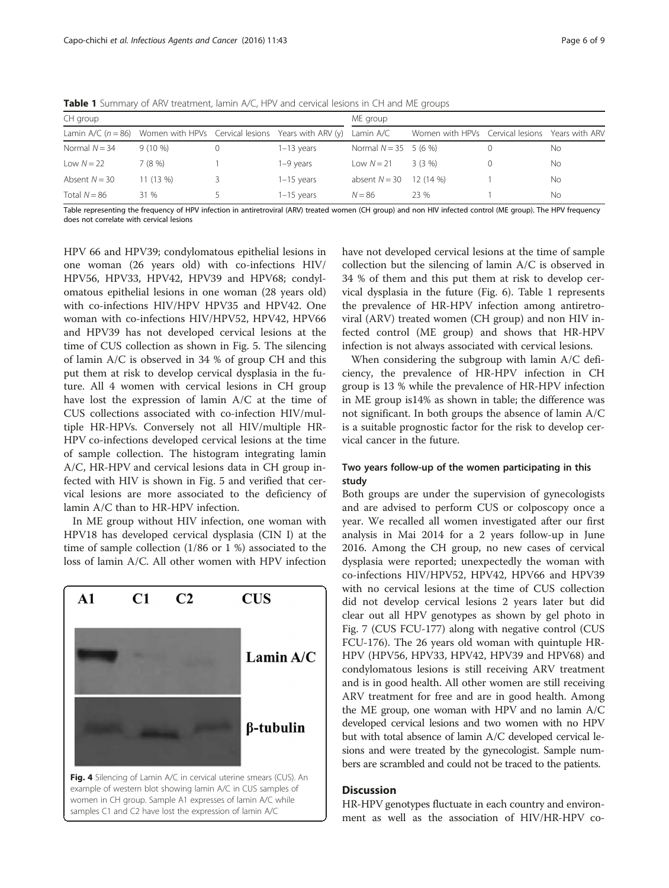| CH group        |                                                                            |  |              | ME group                |                                                 |  |    |
|-----------------|----------------------------------------------------------------------------|--|--------------|-------------------------|-------------------------------------------------|--|----|
|                 | Lamin A/C ( $n = 86$ ) Women with HPVs Cervical lesions Years with ARV (y) |  |              | Lamin A/C               | Women with HPVs Cervical lesions Years with ARV |  |    |
| Normal $N = 34$ | $9(10\%)$                                                                  |  | $1-13$ years | Normal $N = 35$ 5 (6 %) |                                                 |  | No |
| Low $N = 22$    | 7 (8 %)                                                                    |  | 1-9 years    | Low $N = 21$            | $3(3\%)$                                        |  | No |
| Absent $N = 30$ | 11(13%)                                                                    |  | $1-15$ years | absent $N = 30$         | $12(14\%)$                                      |  | No |
| Total $N = 86$  | 31 %                                                                       |  | $1-15$ years | $N = 86$                | 23 %                                            |  | Nο |

<span id="page-5-0"></span>**Table 1** Summary of ARV treatment, lamin A/C, HPV and cervical lesions in CH and MF groups

Table representing the frequency of HPV infection in antiretroviral (ARV) treated women (CH group) and non HIV infected control (ME group). The HPV frequency does not correlate with cervical lesions

HPV 66 and HPV39; condylomatous epithelial lesions in one woman (26 years old) with co-infections HIV/ HPV56, HPV33, HPV42, HPV39 and HPV68; condylomatous epithelial lesions in one woman (28 years old) with co-infections HIV/HPV HPV35 and HPV42. One woman with co-infections HIV/HPV52, HPV42, HPV66 and HPV39 has not developed cervical lesions at the time of CUS collection as shown in Fig. [5.](#page-6-0) The silencing of lamin A/C is observed in 34 % of group CH and this put them at risk to develop cervical dysplasia in the future. All 4 women with cervical lesions in CH group have lost the expression of lamin A/C at the time of CUS collections associated with co-infection HIV/multiple HR-HPVs. Conversely not all HIV/multiple HR-HPV co-infections developed cervical lesions at the time of sample collection. The histogram integrating lamin A/C, HR-HPV and cervical lesions data in CH group infected with HIV is shown in Fig. [5](#page-6-0) and verified that cervical lesions are more associated to the deficiency of lamin A/C than to HR-HPV infection.

In ME group without HIV infection, one woman with HPV18 has developed cervical dysplasia (CIN I) at the time of sample collection (1/86 or 1 %) associated to the loss of lamin A/C. All other women with HPV infection



have not developed cervical lesions at the time of sample collection but the silencing of lamin A/C is observed in 34 % of them and this put them at risk to develop cervical dysplasia in the future (Fig. [6](#page-6-0)). Table 1 represents the prevalence of HR-HPV infection among antiretroviral (ARV) treated women (CH group) and non HIV infected control (ME group) and shows that HR-HPV infection is not always associated with cervical lesions.

When considering the subgroup with lamin A/C deficiency, the prevalence of HR-HPV infection in CH group is 13 % while the prevalence of HR-HPV infection in ME group is14% as shown in table; the difference was not significant. In both groups the absence of lamin A/C is a suitable prognostic factor for the risk to develop cervical cancer in the future.

# Two years follow-up of the women participating in this study

Both groups are under the supervision of gynecologists and are advised to perform CUS or colposcopy once a year. We recalled all women investigated after our first analysis in Mai 2014 for a 2 years follow-up in June 2016. Among the CH group, no new cases of cervical dysplasia were reported; unexpectedly the woman with co-infections HIV/HPV52, HPV42, HPV66 and HPV39 with no cervical lesions at the time of CUS collection did not develop cervical lesions 2 years later but did clear out all HPV genotypes as shown by gel photo in Fig. [7](#page-7-0) (CUS FCU-177) along with negative control (CUS FCU-176). The 26 years old woman with quintuple HR-HPV (HPV56, HPV33, HPV42, HPV39 and HPV68) and condylomatous lesions is still receiving ARV treatment and is in good health. All other women are still receiving ARV treatment for free and are in good health. Among the ME group, one woman with HPV and no lamin A/C developed cervical lesions and two women with no HPV but with total absence of lamin A/C developed cervical lesions and were treated by the gynecologist. Sample numbers are scrambled and could not be traced to the patients.

# **Discussion**

HR-HPV genotypes fluctuate in each country and environment as well as the association of HIV/HR-HPV co-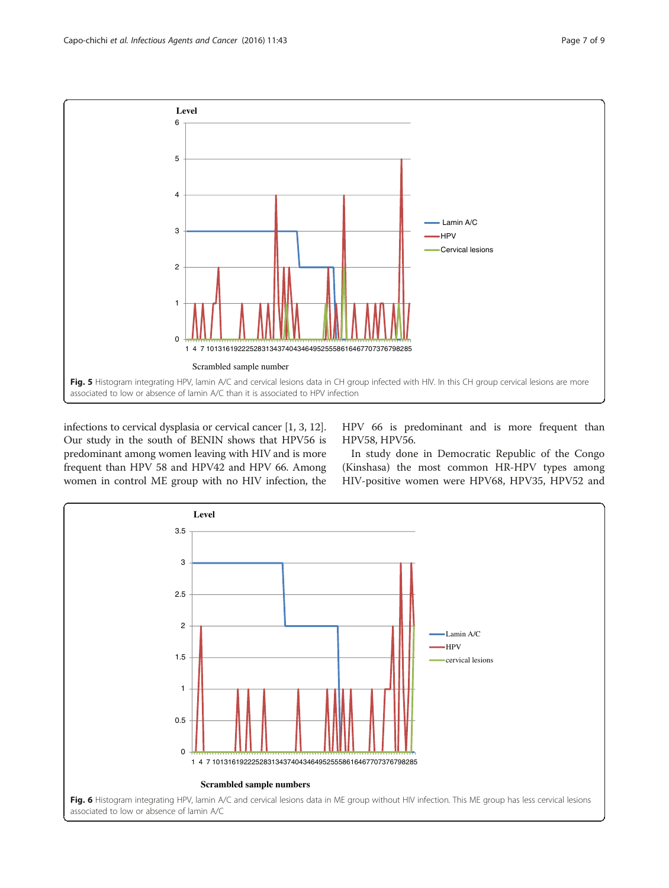<span id="page-6-0"></span>

infections to cervical dysplasia or cervical cancer [[1](#page-8-0), [3](#page-8-0), [12](#page-8-0)]. Our study in the south of BENIN shows that HPV56 is predominant among women leaving with HIV and is more frequent than HPV 58 and HPV42 and HPV 66. Among women in control ME group with no HIV infection, the HPV 66 is predominant and is more frequent than HPV58, HPV56.

In study done in Democratic Republic of the Congo (Kinshasa) the most common HR-HPV types among HIV-positive women were HPV68, HPV35, HPV52 and

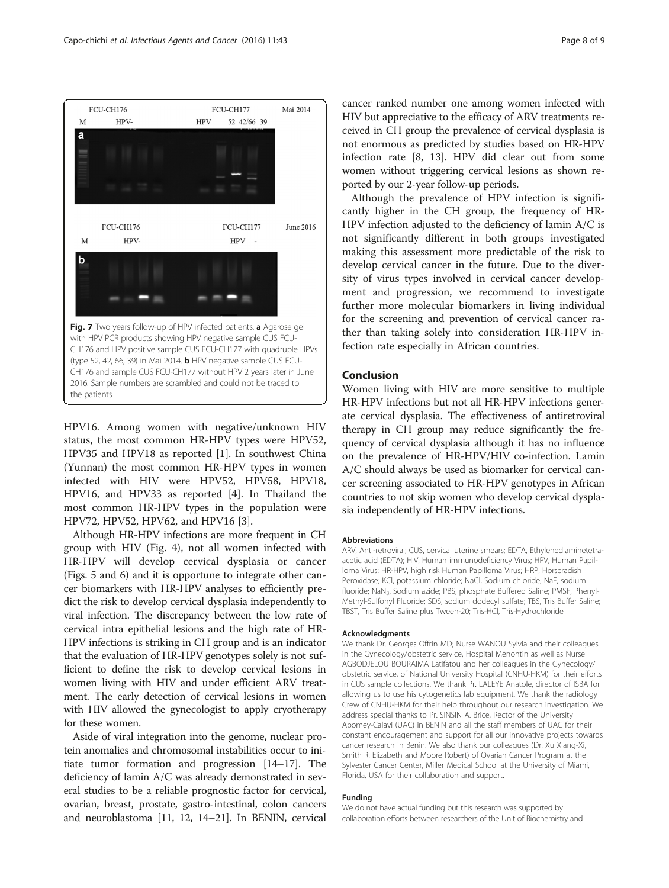<span id="page-7-0"></span>

HPV16. Among women with negative/unknown HIV status, the most common HR-HPV types were HPV52, HPV35 and HPV18 as reported [[1](#page-8-0)]. In southwest China (Yunnan) the most common HR-HPV types in women infected with HIV were HPV52, HPV58, HPV18, HPV16, and HPV33 as reported [\[4](#page-8-0)]. In Thailand the most common HR-HPV types in the population were HPV72, HPV52, HPV62, and HPV16 [\[3\]](#page-8-0).

Although HR-HPV infections are more frequent in CH group with HIV (Fig. [4\)](#page-5-0), not all women infected with HR-HPV will develop cervical dysplasia or cancer (Figs. [5](#page-6-0) and [6\)](#page-6-0) and it is opportune to integrate other cancer biomarkers with HR-HPV analyses to efficiently predict the risk to develop cervical dysplasia independently to viral infection. The discrepancy between the low rate of cervical intra epithelial lesions and the high rate of HR-HPV infections is striking in CH group and is an indicator that the evaluation of HR-HPV genotypes solely is not sufficient to define the risk to develop cervical lesions in women living with HIV and under efficient ARV treatment. The early detection of cervical lesions in women with HIV allowed the gynecologist to apply cryotherapy for these women.

Aside of viral integration into the genome, nuclear protein anomalies and chromosomal instabilities occur to initiate tumor formation and progression [\[14](#page-8-0)–[17\]](#page-8-0). The deficiency of lamin A/C was already demonstrated in several studies to be a reliable prognostic factor for cervical, ovarian, breast, prostate, gastro-intestinal, colon cancers and neuroblastoma [\[11](#page-8-0), [12](#page-8-0), [14](#page-8-0)–[21](#page-8-0)]. In BENIN, cervical

cancer ranked number one among women infected with HIV but appreciative to the efficacy of ARV treatments received in CH group the prevalence of cervical dysplasia is not enormous as predicted by studies based on HR-HPV infection rate [\[8, 13\]](#page-8-0). HPV did clear out from some women without triggering cervical lesions as shown reported by our 2-year follow-up periods.

Although the prevalence of HPV infection is significantly higher in the CH group, the frequency of HR-HPV infection adjusted to the deficiency of lamin A/C is not significantly different in both groups investigated making this assessment more predictable of the risk to develop cervical cancer in the future. Due to the diversity of virus types involved in cervical cancer development and progression, we recommend to investigate further more molecular biomarkers in living individual for the screening and prevention of cervical cancer rather than taking solely into consideration HR-HPV infection rate especially in African countries.

### Conclusion

Women living with HIV are more sensitive to multiple HR-HPV infections but not all HR-HPV infections generate cervical dysplasia. The effectiveness of antiretroviral therapy in CH group may reduce significantly the frequency of cervical dysplasia although it has no influence on the prevalence of HR-HPV/HIV co-infection. Lamin A/C should always be used as biomarker for cervical cancer screening associated to HR-HPV genotypes in African countries to not skip women who develop cervical dysplasia independently of HR-HPV infections.

#### Abbreviations

ARV, Anti-retroviral; CUS, cervical uterine smears; EDTA, Ethylenediaminetetraacetic acid (EDTA); HIV, Human immunodeficiency Virus; HPV, Human Papilloma Virus; HR-HPV, high risk Human Papilloma Virus; HRP, Horseradish Peroxidase; KCl, potassium chloride; NaCl, Sodium chloride; NaF, sodium fluoride; NaN<sub>3</sub>, Sodium azide; PBS, phosphate Buffered Saline; PMSF, Phenyl-Methyl-Sulfonyl Fluoride; SDS, sodium dodecyl sulfate; TBS, Tris Buffer Saline; TBST, Tris Buffer Saline plus Tween-20; Tris-HCl, Tris-Hydrochloride

### Acknowledgments

We thank Dr. Georges Offrin MD; Nurse WANOU Sylvia and their colleagues in the Gynecology/obstetric service, Hospital Mènontin as well as Nurse AGBODJELOU BOURAIMA Latifatou and her colleagues in the Gynecology/ obstetric service, of National University Hospital (CNHU-HKM) for their efforts in CUS sample collections. We thank Pr. LALEYE Anatole, director of ISBA for allowing us to use his cytogenetics lab equipment. We thank the radiology Crew of CNHU-HKM for their help throughout our research investigation. We address special thanks to Pr. SINSIN A. Brice, Rector of the University Abomey-Calavi (UAC) in BENIN and all the staff members of UAC for their constant encouragement and support for all our innovative projects towards cancer research in Benin. We also thank our colleagues (Dr. Xu Xiang-Xi, Smith R. Elizabeth and Moore Robert) of Ovarian Cancer Program at the Sylvester Cancer Center, Miller Medical School at the University of Miami, Florida, USA for their collaboration and support.

#### Funding

We do not have actual funding but this research was supported by collaboration efforts between researchers of the Unit of Biochemistry and